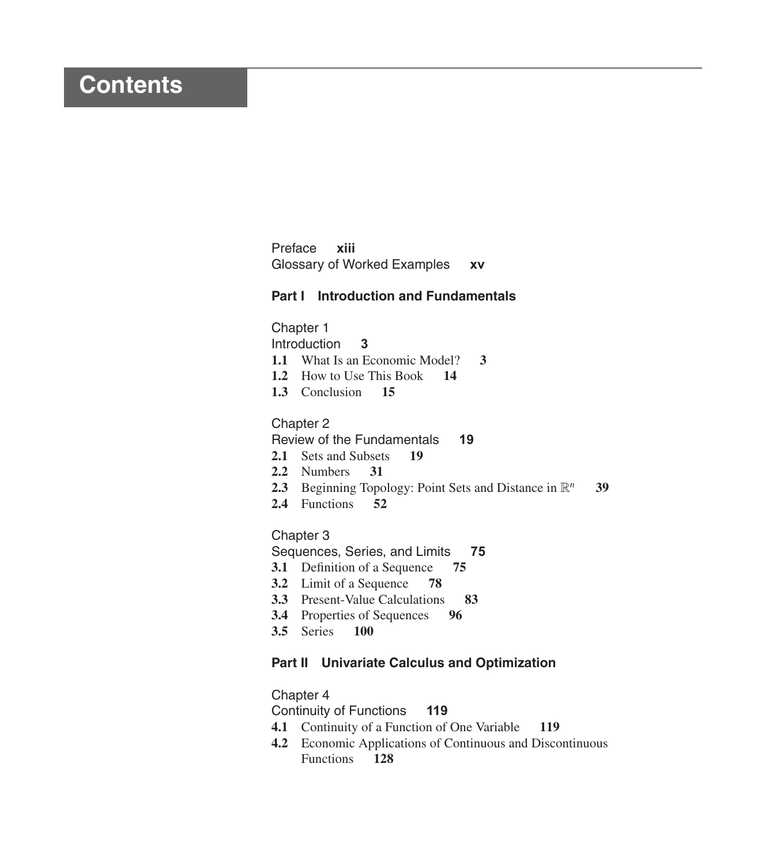# **Contents**

Preface **xiii** Glossary of Worked Examples **xv**

# **Part I Introduction and Fundamentals**

# Chapter 1

Introduction **3**

- **1.1** What Is an Economic Model? **3**
- **1.2** How to Use This Book **14**
- **1.3** Conclusion **15**

#### Chapter 2

Review of the Fundamentals **19**

- **2.1** Sets and Subsets **19**
- **2.2** Numbers **31**
- **2.3** Beginning Topology: Point Sets and Distance in  $\mathbb{R}^n$  **39**
- **2.4** Functions **52**

#### Chapter 3

Sequences, Series, and Limits **75**

- **3.1** Definition of a Sequence **75**
- **3.2** Limit of a Sequence **78**
- **3.3** Present-Value Calculations **83**
- **3.4** Properties of Sequences **96**
- **3.5** Series **100**

# **Part II Univariate Calculus and Optimization**

#### Chapter 4

Continuity of Functions **119**

- **4.1** Continuity of a Function of One Variable **119**
- **4.2** Economic Applications of Continuous and Discontinuous Functions **128**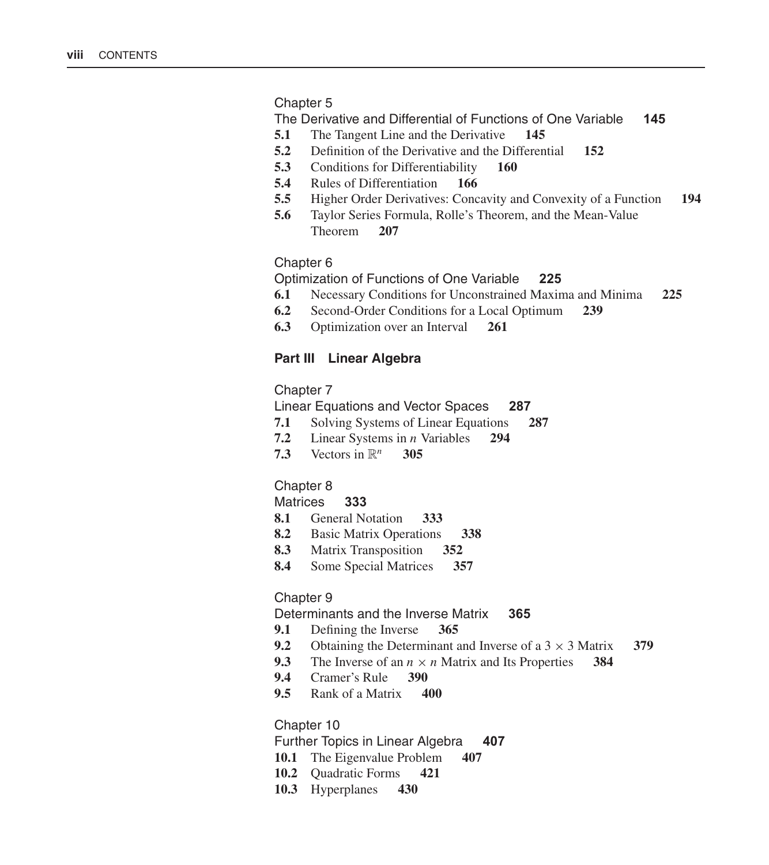## Chapter 5

The Derivative and Differential of Functions of One Variable **145**

- **5.1** The Tangent Line and the Derivative **145**
- **5.2** Definition of the Derivative and the Differential **152**
- **5.3** Conditions for Differentiability **160**
- **5.4** Rules of Differentiation **166**
- **5.5** Higher Order Derivatives: Concavity and Convexity of a Function **194**
- **5.6** Taylor Series Formula, Rolle's Theorem, and the Mean-Value Theorem **207**

#### Chapter 6

Optimization of Functions of One Variable **225**

- **6.1** Necessary Conditions for Unconstrained Maxima and Minima **225**
- **6.2** Second-Order Conditions for a Local Optimum **239**
- **6.3** Optimization over an Interval **261**

## **Part III Linear Algebra**

#### Chapter 7

Linear Equations and Vector Spaces **287**

- **7.1** Solving Systems of Linear Equations **287**
- **7.2** Linear Systems in n Variables **294**
- **7.3** Vectors in  $\mathbb{R}^n$  **305**

#### Chapter 8

# Matrices **333**

- **8.1** General Notation **333**
- **8.2** Basic Matrix Operations **338**
- **8.3** Matrix Transposition **352**
- **8.4** Some Special Matrices **357**

#### Chapter 9

#### Determinants and the Inverse Matrix **365**

- **9.1** Defining the Inverse **365**
- **9.2** Obtaining the Determinant and Inverse of a  $3 \times 3$  Matrix **379**<br>**9.3** The Inverse of an  $n \times n$  Matrix and Its Properties **384**
- **9.3** The Inverse of an  $n \times n$  Matrix and Its Properties **9.4** Cramer's Rule **390**
- **9.4** Cramer's Rule **390**
- **9.5** Rank of a Matrix **400**

#### Chapter 10

Further Topics in Linear Algebra **407**

- **10.1** The Eigenvalue Problem **407**
- **10.2** Quadratic Forms **421**
- **10.3** Hyperplanes **430**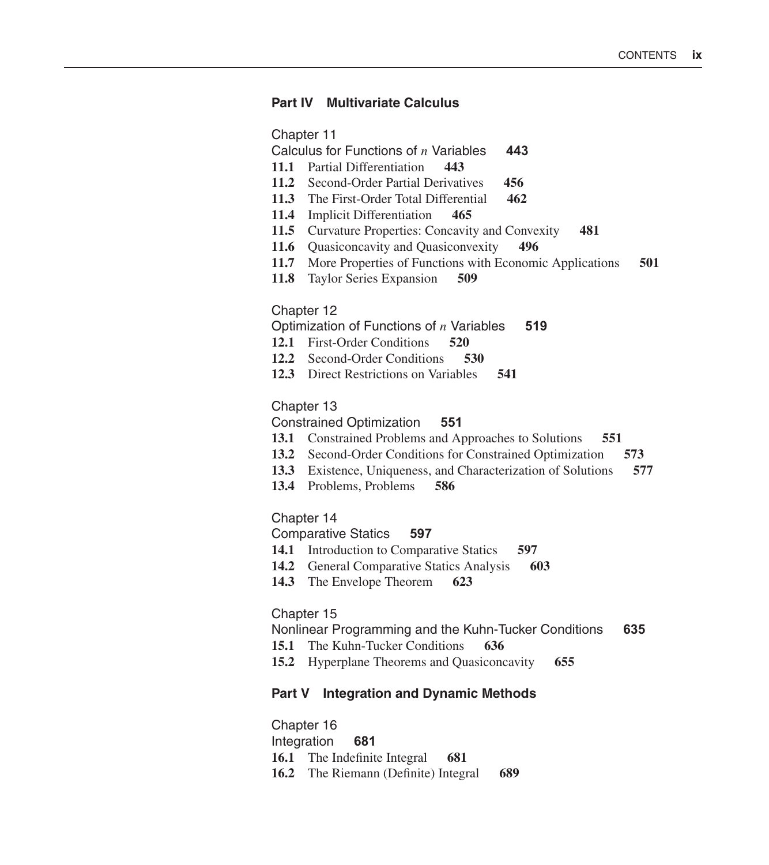#### **Part IV Multivariate Calculus**

Chapter 11

Calculus for Functions of n Variables **443**

- **11.1** Partial Differentiation **443**
- **11.2** Second-Order Partial Derivatives **456**
- **11.3** The First-Order Total Differential **462**
- **11.4** Implicit Differentiation **465**
- **11.5** Curvature Properties: Concavity and Convexity **481**
- **11.6** Quasiconcavity and Quasiconvexity **496**
- **11.7** More Properties of Functions with Economic Applications **501**
- **11.8** Taylor Series Expansion **509**

#### Chapter 12

Optimization of Functions of n Variables **519**

- **12.1** First-Order Conditions **520**
- **12.2** Second-Order Conditions **530**
- **12.3** Direct Restrictions on Variables **541**

# Chapter 13

Constrained Optimization **551**

- **13.1** Constrained Problems and Approaches to Solutions **551**
- **13.2** Second-Order Conditions for Constrained Optimization **573**
- **13.3** Existence, Uniqueness, and Characterization of Solutions **577**
- **13.4** Problems, Problems **586**

# Chapter 14

Comparative Statics **597**

- **14.1** Introduction to Comparative Statics **597**
- **14.2** General Comparative Statics Analysis **603**
- **14.3** The Envelope Theorem **623**

#### Chapter 15

Nonlinear Programming and the Kuhn-Tucker Conditions **635**

- **15.1** The Kuhn-Tucker Conditions **636**
- **15.2** Hyperplane Theorems and Quasiconcavity **655**

# **Part V Integration and Dynamic Methods**

Chapter 16 Integration **681 16.1** The Indefinite Integral **681 16.2** The Riemann (Definite) Integral **689**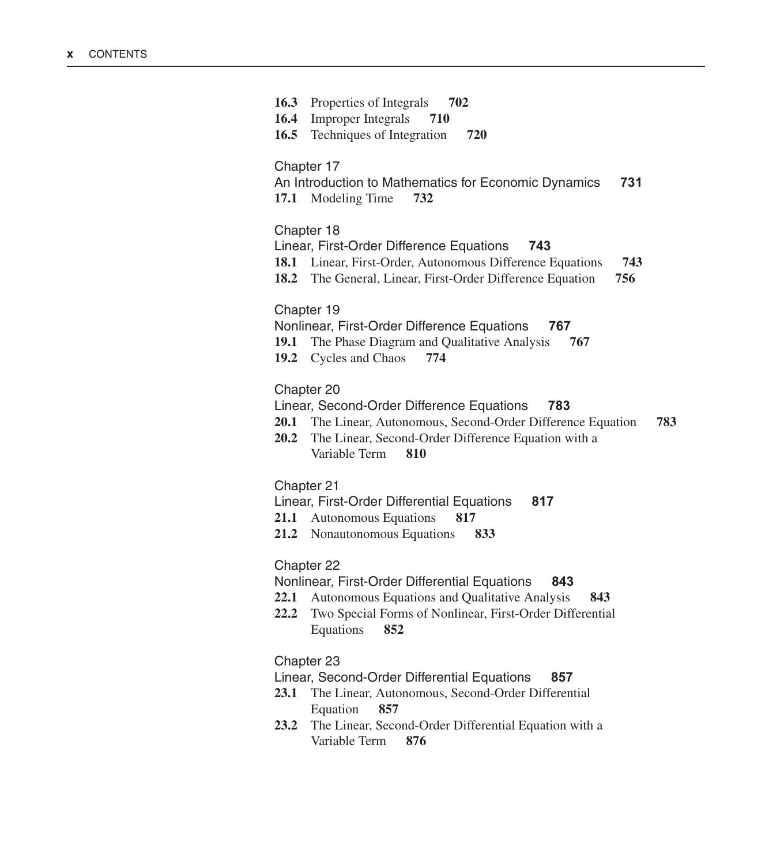| 16.3 Properties of Integrals 702<br><b>Improper Integrals</b><br>16.4<br>710<br>Techniques of Integration<br>16.5<br>720                                                                                                      |  |
|-------------------------------------------------------------------------------------------------------------------------------------------------------------------------------------------------------------------------------|--|
| Chapter 17<br>An Introduction to Mathematics for Economic Dynamics<br>731<br>17.1 Modeling Time<br>732                                                                                                                        |  |
| Chapter 18<br>Linear, First-Order Difference Equations<br>743<br>18.1 Linear, First-Order, Autonomous Difference Equations<br>743<br>18.2 The General, Linear, First-Order Difference Equation<br>756                         |  |
| Chapter 19<br>Nonlinear, First-Order Difference Equations<br>767<br>19.1 The Phase Diagram and Qualitative Analysis<br>767<br>19.2 Cycles and Chaos<br>774                                                                    |  |
| Chapter 20<br>Linear, Second-Order Difference Equations<br>783<br>20.1 The Linear, Autonomous, Second-Order Difference Equation<br>783<br>The Linear, Second-Order Difference Equation with a<br>20.2<br>Variable Term<br>810 |  |
| Chapter 21<br>Linear, First-Order Differential Equations<br>817<br>21.1 Autonomous Equations<br>817<br>21.2 Nonautonomous Equations<br>833                                                                                    |  |
| Chapter 22<br>Nonlinear, First-Order Differential Equations<br>843<br>22.1 Autonomous Equations and Qualitative Analysis<br>843<br>22.2<br>Two Special Forms of Nonlinear, First-Order Differential<br>Equations<br>852       |  |
| Chaptor 23                                                                                                                                                                                                                    |  |

# Chapter 23

# Linear, Second-Order Differential Equations **857**

- **23.1** The Linear, Autonomous, Second-Order Differential Equation **857**
- **23.2** The Linear, Second-Order Differential Equation with a Variable Term **876**